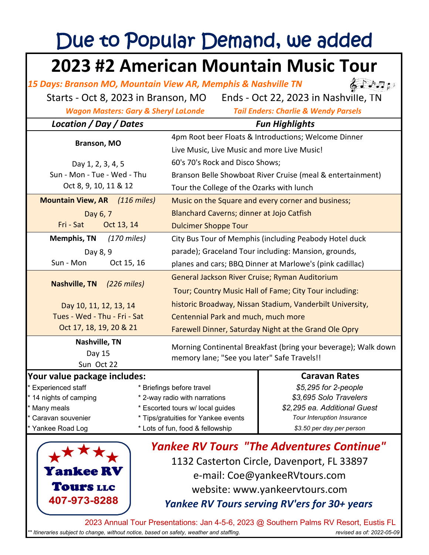## Due to Popular Demand, we added

## **2023 #2 American Mountain Music Tour**

*15 Days: Branson MO, Mountain View AR, Memphis & Nashville TN*

Starts - Oct 8, 2023 in Branson, MO Ends - Oct 22, 2023 in Nashville, TN

*Wagon Masters: Gary & Sheryl LaLonde Tail Enders: Charlie & Wendy Parsels*

*Fun Highlights*

 $65071$ 

| Location / Day / Dates                                                    |                       | <b>Fun Highlights</b>                                          |                                                    |  |  |
|---------------------------------------------------------------------------|-----------------------|----------------------------------------------------------------|----------------------------------------------------|--|--|
| Branson, MO                                                               |                       | 4pm Root beer Floats & Introductions; Welcome Dinner           |                                                    |  |  |
|                                                                           |                       | Live Music, Live Music and more Live Music!                    |                                                    |  |  |
| Day 1, 2, 3, 4, 5<br>Sun - Mon - Tue - Wed - Thu<br>Oct 8, 9, 10, 11 & 12 |                       | 60's 70's Rock and Disco Shows;                                |                                                    |  |  |
|                                                                           |                       | Branson Belle Showboat River Cruise (meal & entertainment)     |                                                    |  |  |
|                                                                           |                       | Tour the College of the Ozarks with lunch                      |                                                    |  |  |
| <b>Mountain View, AR</b> (116 miles)                                      |                       |                                                                | Music on the Square and every corner and business; |  |  |
| Day 6, 7                                                                  |                       | Blanchard Caverns; dinner at Jojo Catfish                      |                                                    |  |  |
| Fri - Sat<br>Oct 13, 14                                                   |                       | <b>Dulcimer Shoppe Tour</b>                                    |                                                    |  |  |
| <b>Memphis, TN</b>                                                        | $(170 \text{ miles})$ | City Bus Tour of Memphis (including Peabody Hotel duck         |                                                    |  |  |
| Day 8, 9                                                                  |                       | parade); Graceland Tour including: Mansion, grounds,           |                                                    |  |  |
| Sun - Mon                                                                 | Oct 15, 16            | planes and cars; BBQ Dinner at Marlowe's (pink cadillac)       |                                                    |  |  |
|                                                                           | $(226$ miles)         | General Jackson River Cruise; Ryman Auditorium                 |                                                    |  |  |
| <b>Nashville, TN</b>                                                      |                       | Tour; Country Music Hall of Fame; City Tour including:         |                                                    |  |  |
| Day 10, 11, 12, 13, 14                                                    |                       | historic Broadway, Nissan Stadium, Vanderbilt University,      |                                                    |  |  |
| Tues - Wed - Thu - Fri - Sat                                              |                       | Centennial Park and much, much more                            |                                                    |  |  |
| Oct 17, 18, 19, 20 & 21                                                   |                       | Farewell Dinner, Saturday Night at the Grand Ole Opry          |                                                    |  |  |
| Nashville, TN                                                             |                       | Morning Continental Breakfast (bring your beverage); Walk down |                                                    |  |  |
| Day 15                                                                    |                       | memory lane; "See you later" Safe Travels!!                    |                                                    |  |  |
| Sun Oct 22                                                                |                       |                                                                |                                                    |  |  |
| Your value package includes:                                              |                       |                                                                | <b>Caravan Rates</b>                               |  |  |
| <b>Experienced staff</b>                                                  |                       | * Briefings before travel                                      | \$5,295 for 2-people                               |  |  |
| * 14 nights of camping                                                    |                       | * 2-way radio with narrations                                  | \$3,695 Solo Travelers                             |  |  |
| Many meals                                                                |                       | * Escorted tours w/ local guides                               | \$2,295 ea. Additional Guest                       |  |  |



Caravan souvenier \* Tips/gratuities for Yankee events Yankee Road Log \* Lots of fun, food & fellowship

> 1132 Casterton Circle, Davenport, FL 33897 e-mail: Coe@yankeeRVtours.com website: www.yankeervtours.com *Yankee RV Tours "The Adventures Continue" Yankee RV Tours serving RV'ers for 30+ years*

*Tour Interuption Insurance \$3.50 per day per person*

2023 Annual Tour Presentations: Jan 4-5-6, 2023 @ Southern Palms RV Resort, Eustis FL *Itineraries subject to change, without notice, based on safety, weather and staffing. revised as of: 2022-05-09*